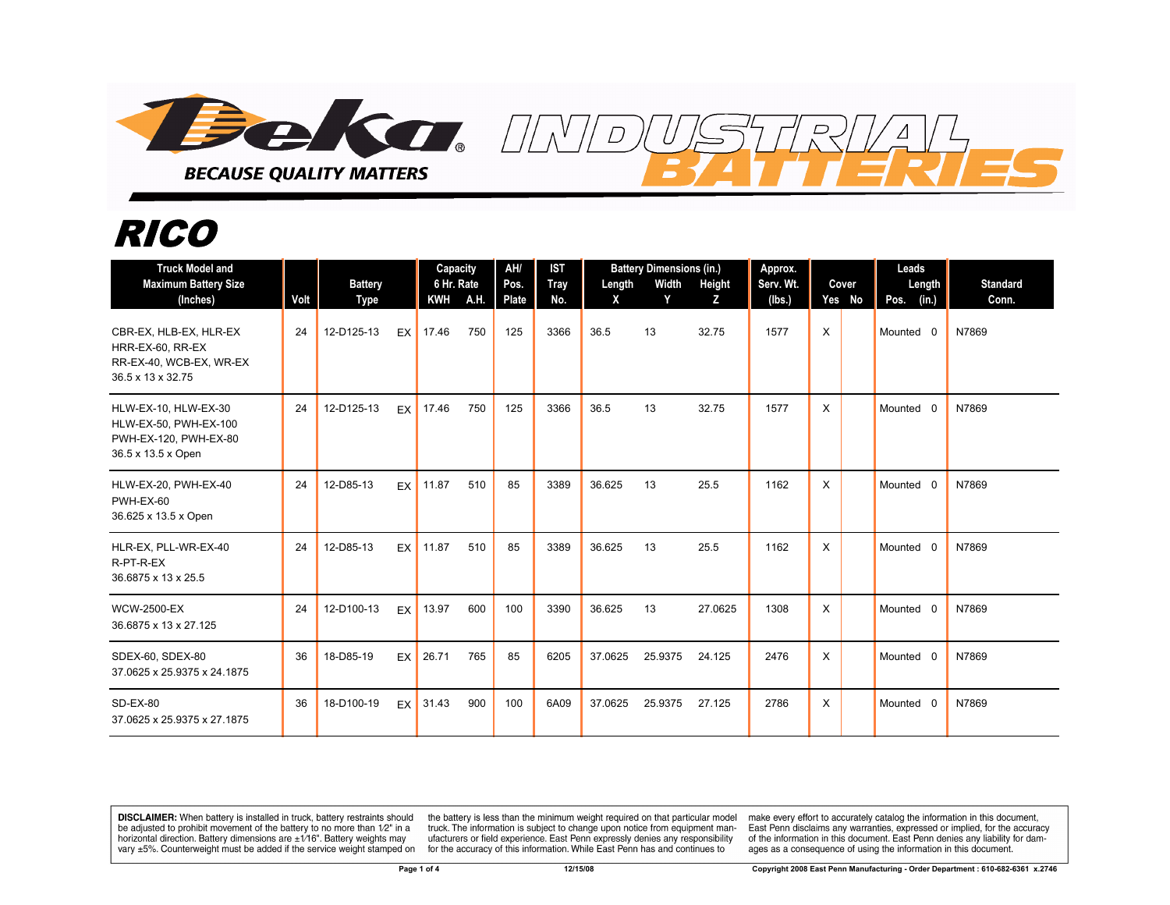

## *RICO*

| <b>Truck Model and</b><br><b>Maximum Battery Size</b><br>(Inches)                            | Volt | <b>Battery</b><br><b>Type</b> |      | Capacity<br>6 Hr. Rate<br>KWH A.H. |     | AH/<br>Pos.<br>Plate | <b>IST</b><br>Tray<br>No. | Length<br>$\mathsf{x}$ | <b>Battery Dimensions (in.)</b><br>Width<br>Y | <b>Height</b><br>z | Approx.<br>Serv. Wt.<br>(lbs.) | Cover<br>Yes No | Leads<br>Length<br>Pos. (in.) | <b>Standard</b><br>Conn. |
|----------------------------------------------------------------------------------------------|------|-------------------------------|------|------------------------------------|-----|----------------------|---------------------------|------------------------|-----------------------------------------------|--------------------|--------------------------------|-----------------|-------------------------------|--------------------------|
| CBR-EX, HLB-EX, HLR-EX<br>HRR-EX-60, RR-EX<br>RR-EX-40, WCB-EX, WR-EX<br>36.5 x 13 x 32.75   | 24   | 12-D125-13                    | EX I | 17.46                              | 750 | 125                  | 3366                      | 36.5                   | 13                                            | 32.75              | 1577                           | X               | Mounted 0                     | N7869                    |
| HLW-EX-10, HLW-EX-30<br>HLW-EX-50, PWH-EX-100<br>PWH-EX-120, PWH-EX-80<br>36.5 x 13.5 x Open | 24   | 12-D125-13                    | EX   | 17.46                              | 750 | 125                  | 3366                      | 36.5                   | 13                                            | 32.75              | 1577                           | X               | Mounted 0                     | N7869                    |
| HLW-EX-20, PWH-EX-40<br>PWH-EX-60<br>36.625 x 13.5 x Open                                    | 24   | 12-D85-13                     | EX   | 11.87                              | 510 | 85                   | 3389                      | 36.625                 | 13                                            | 25.5               | 1162                           | X               | Mounted 0                     | N7869                    |
| HLR-EX, PLL-WR-EX-40<br>R-PT-R-EX<br>36.6875 x 13 x 25.5                                     | 24   | 12-D85-13                     | EX   | 11.87                              | 510 | 85                   | 3389                      | 36.625                 | 13                                            | 25.5               | 1162                           | X               | Mounted 0                     | N7869                    |
| <b>WCW-2500-EX</b><br>36.6875 x 13 x 27.125                                                  | 24   | 12-D100-13                    | EX   | 13.97                              | 600 | 100                  | 3390                      | 36.625                 | 13                                            | 27.0625            | 1308                           | X               | Mounted 0                     | N7869                    |
| SDEX-60, SDEX-80<br>37.0625 x 25.9375 x 24.1875                                              | 36   | 18-D85-19                     | EX   | 26.71                              | 765 | 85                   | 6205                      | 37.0625                | 25.9375                                       | 24.125             | 2476                           | X               | Mounted 0                     | N7869                    |
| $SD-EX-80$<br>37.0625 x 25.9375 x 27.1875                                                    | 36   | 18-D100-19                    | EX   | 31.43                              | 900 | 100                  | 6A09                      | 37.0625                | 25.9375                                       | 27.125             | 2786                           | X               | Mounted 0                     | N7869                    |

**DISCLAIMER:** When battery is installed in truck, battery restraints should be adjusted to prohibit movement of the battery to no more than 1/2" in a horizontal direction. Battery dimensions are  $\pm 1/16$ ". Battery weights may vary ±5%. Counterweight must be added if the service weight stamped on

the battery is less than the minimum weight required on that particular model truck. The information is subject to change upon notice from equipment manufacturers or field experience. East Penn expressly denies any responsibility for the accuracy of this information. While East Penn has and continues to

make every effort to accurately catalog the information in this document, East Penn disclaims any warranties, expressed or implied, for the accuracy of the information in this document. East Penn denies any liability for damages as a consequence of using the information in this document.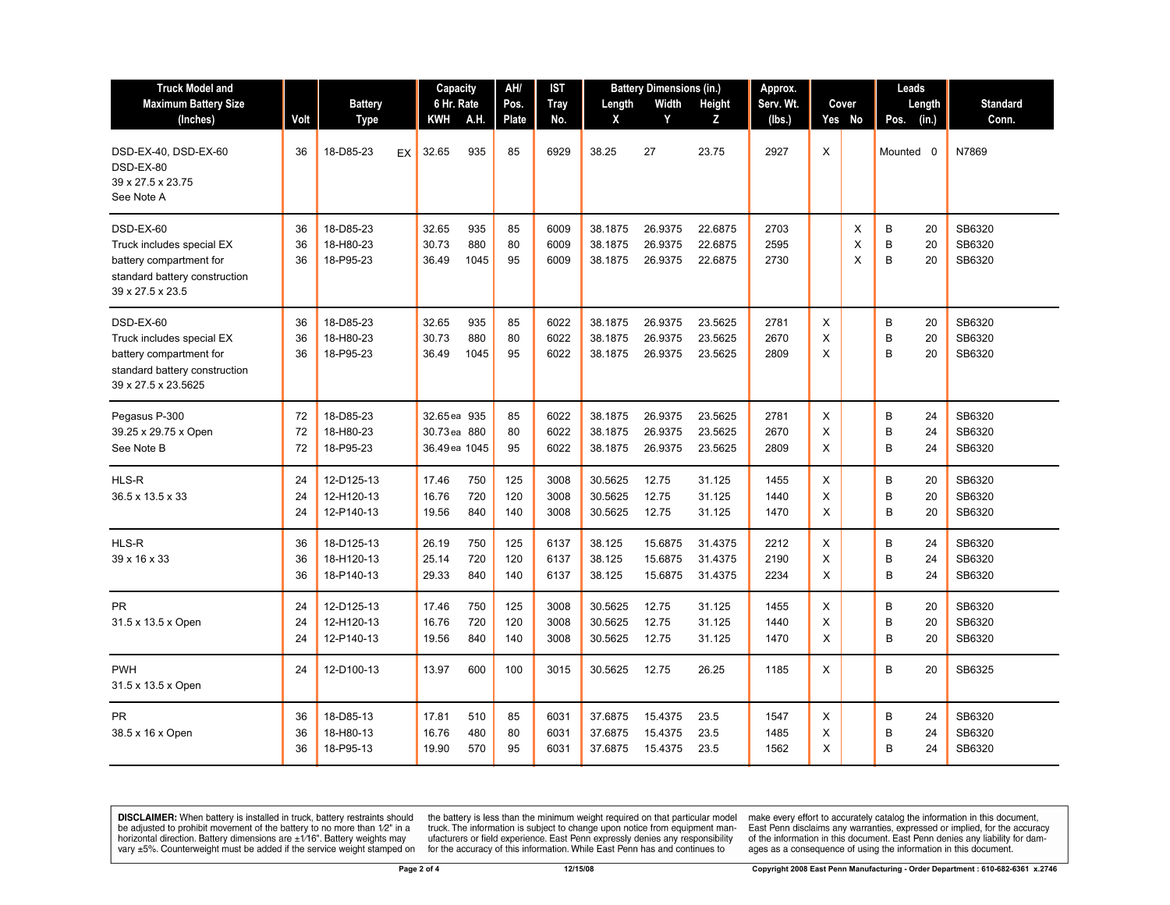| <b>Truck Model and</b>                                                                                                    |                |                                        |    | Capacity                                      |                    | AH/               | IST                  |                               | <b>Battery Dimensions (in.)</b> | Approx.                       |                      |             | Leads       |                               |                            |
|---------------------------------------------------------------------------------------------------------------------------|----------------|----------------------------------------|----|-----------------------------------------------|--------------------|-------------------|----------------------|-------------------------------|---------------------------------|-------------------------------|----------------------|-------------|-------------|-------------------------------|----------------------------|
| <b>Maximum Battery Size</b>                                                                                               |                | <b>Battery</b>                         |    | 6 Hr. Rate                                    |                    | Pos.              | <b>Tray</b>          | Length                        | Width                           | <b>Height</b>                 | Serv. Wt.            |             | Cover       | Length                        | <b>Standard</b>            |
| (Inches)                                                                                                                  | Volt           | <b>Type</b>                            |    | KWH                                           | A.H.               | <b>Plate</b>      | No.                  | X                             | Y                               | Z                             | (lbs.)               |             | Yes No      | (in.)<br>Pos.                 | Conn.                      |
| DSD-EX-40, DSD-EX-60<br>DSD-EX-80<br>39 x 27.5 x 23.75<br>See Note A                                                      | 36             | 18-D85-23                              | EX | 32.65                                         | 935                | 85                | 6929                 | 38.25                         | 27                              | 23.75                         | 2927                 | X           |             | Mounted 0                     | N7869                      |
| DSD-EX-60<br>Truck includes special EX<br>battery compartment for<br>standard battery construction<br>39 x 27.5 x 23.5    | 36<br>36<br>36 | 18-D85-23<br>18-H80-23<br>18-P95-23    |    | 32.65<br>30.73<br>36.49                       | 935<br>880<br>1045 | 85<br>80<br>95    | 6009<br>6009<br>6009 | 38.1875<br>38.1875<br>38.1875 | 26.9375<br>26.9375<br>26.9375   | 22.6875<br>22.6875<br>22.6875 | 2703<br>2595<br>2730 |             | X<br>X<br>X | B<br>20<br>B<br>20<br>B<br>20 | SB6320<br>SB6320<br>SB6320 |
| DSD-EX-60<br>Truck includes special EX<br>battery compartment for<br>standard battery construction<br>39 x 27.5 x 23.5625 | 36<br>36<br>36 | 18-D85-23<br>18-H80-23<br>18-P95-23    |    | 32.65<br>30.73<br>36.49                       | 935<br>880<br>1045 | 85<br>80<br>95    | 6022<br>6022<br>6022 | 38.1875<br>38.1875<br>38.1875 | 26.9375<br>26.9375<br>26.9375   | 23.5625<br>23.5625<br>23.5625 | 2781<br>2670<br>2809 | Χ<br>X<br>X |             | B<br>20<br>B<br>20<br>B<br>20 | SB6320<br>SB6320<br>SB6320 |
| Pegasus P-300<br>39.25 x 29.75 x Open<br>See Note B                                                                       | 72<br>72<br>72 | 18-D85-23<br>18-H80-23<br>18-P95-23    |    | 32.65 ea 935<br>30.73 ea 880<br>36.49 ea 1045 |                    | 85<br>80<br>95    | 6022<br>6022<br>6022 | 38.1875<br>38.1875<br>38.1875 | 26.9375<br>26.9375<br>26.9375   | 23.5625<br>23.5625<br>23.5625 | 2781<br>2670<br>2809 | X<br>X<br>X |             | B<br>24<br>B<br>24<br>B<br>24 | SB6320<br>SB6320<br>SB6320 |
| HLS-R<br>36.5 x 13.5 x 33                                                                                                 | 24<br>24<br>24 | 12-D125-13<br>12-H120-13<br>12-P140-13 |    | 17.46<br>16.76<br>19.56                       | 750<br>720<br>840  | 125<br>120<br>140 | 3008<br>3008<br>3008 | 30.5625<br>30.5625<br>30.5625 | 12.75<br>12.75<br>12.75         | 31.125<br>31.125<br>31.125    | 1455<br>1440<br>1470 | X<br>X<br>X |             | B<br>20<br>B<br>20<br>B<br>20 | SB6320<br>SB6320<br>SB6320 |
| HLS-R<br>39 x 16 x 33                                                                                                     | 36<br>36<br>36 | 18-D125-13<br>18-H120-13<br>18-P140-13 |    | 26.19<br>25.14<br>29.33                       | 750<br>720<br>840  | 125<br>120<br>140 | 6137<br>6137<br>6137 | 38.125<br>38.125<br>38.125    | 15.6875<br>15.6875<br>15.6875   | 31.4375<br>31.4375<br>31.4375 | 2212<br>2190<br>2234 | X<br>X<br>X |             | B<br>24<br>B<br>24<br>B<br>24 | SB6320<br>SB6320<br>SB6320 |
| <b>PR</b><br>31.5 x 13.5 x Open                                                                                           | 24<br>24<br>24 | 12-D125-13<br>12-H120-13<br>12-P140-13 |    | 17.46<br>16.76<br>19.56                       | 750<br>720<br>840  | 125<br>120<br>140 | 3008<br>3008<br>3008 | 30.5625<br>30.5625<br>30.5625 | 12.75<br>12.75<br>12.75         | 31.125<br>31.125<br>31.125    | 1455<br>1440<br>1470 | X<br>X<br>X |             | B<br>20<br>B<br>20<br>B<br>20 | SB6320<br>SB6320<br>SB6320 |
| <b>PWH</b><br>31.5 x 13.5 x Open                                                                                          | 24             | 12-D100-13                             |    | 13.97                                         | 600                | 100               | 3015                 | 30.5625                       | 12.75                           | 26.25                         | 1185                 | Χ           |             | B<br>20                       | SB6325                     |
| <b>PR</b><br>38.5 x 16 x Open                                                                                             | 36<br>36<br>36 | 18-D85-13<br>18-H80-13<br>18-P95-13    |    | 17.81<br>16.76<br>19.90                       | 510<br>480<br>570  | 85<br>80<br>95    | 6031<br>6031<br>6031 | 37.6875<br>37.6875<br>37.6875 | 15.4375<br>15.4375<br>15.4375   | 23.5<br>23.5<br>23.5          | 1547<br>1485<br>1562 | X<br>X<br>X |             | B<br>24<br>B<br>24<br>B<br>24 | SB6320<br>SB6320<br>SB6320 |

**DISCLAIMER:** When battery is installed in truck, battery restraints should be adjusted to prohibit movement of the battery to no more than  $1/2$ " in a horizontal direction. Battery dimensions are  $\pm 1/16$ ". Battery weig

the battery is less than the minimum weight required on that particular model<br>truck. The information is subject to change upon notice from equipment man-<br>ufacturers or field experience. East Penn expressly denies any respo

make every effort to accurately catalog the information in this document,<br>East Penn disclaims any warranties, expressed or implied, for the accuracy<br>of the information in this document. East Penn denies any liability for d ages as a consequence of using the information in this document.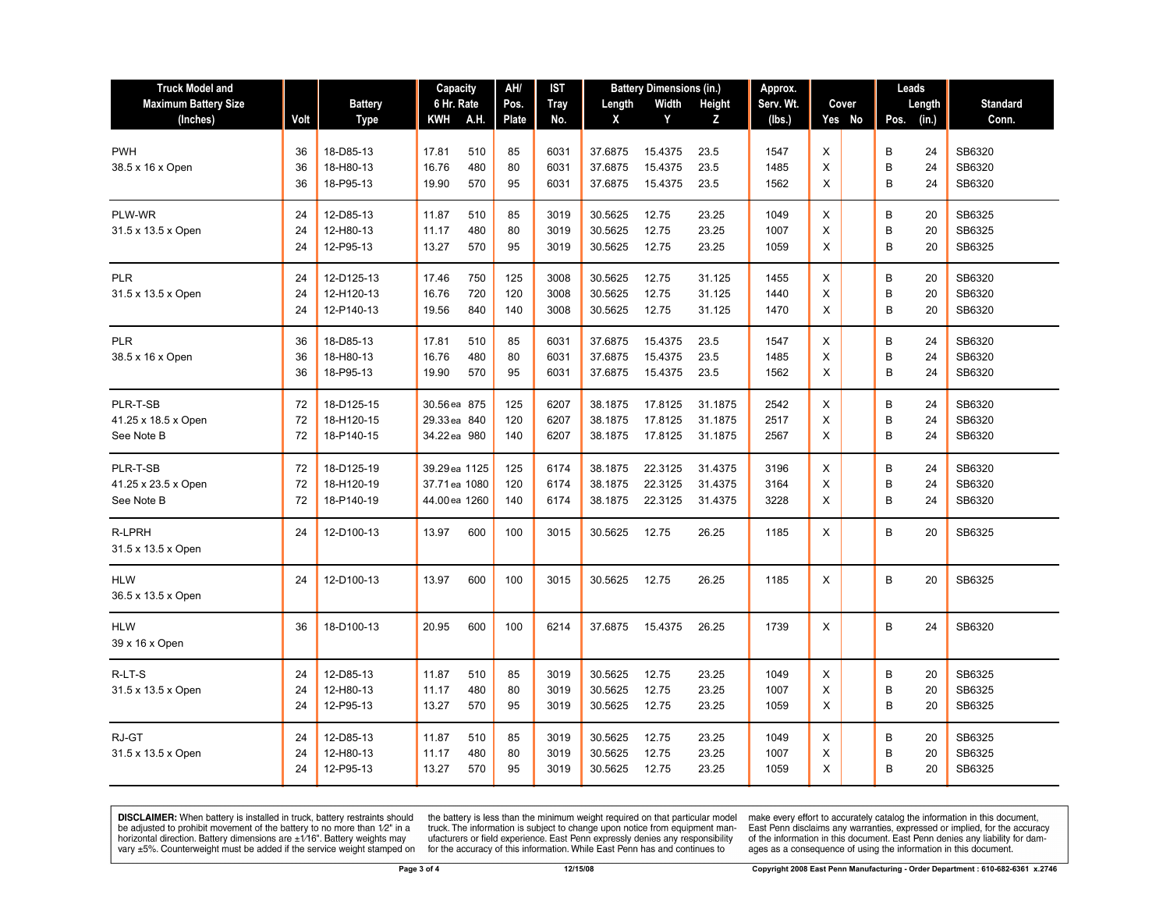| <b>Truck Model and</b>      | AH/<br><b>Battery Dimensions (in.)</b><br>Capacity<br>IST |                        |                | Approx.    |              | Leads        |                    |                |                |              |        |                    |                  |
|-----------------------------|-----------------------------------------------------------|------------------------|----------------|------------|--------------|--------------|--------------------|----------------|----------------|--------------|--------|--------------------|------------------|
| <b>Maximum Battery Size</b> |                                                           | <b>Battery</b>         | 6 Hr. Rate     |            | Pos.         | <b>Tray</b>  | Length             | Width          | Height         | Serv. Wt.    | Cover  | Length             | <b>Standard</b>  |
| (Inches)                    | Volt                                                      | Type                   | KWH            | A.H.       | <b>Plate</b> | No.          | Χ                  | Y              | Z              | (lbs.)       | Yes No | Pos. (in.)         | Conn.            |
| <b>PWH</b>                  | 36                                                        | 18-D85-13              | 17.81          | 510        | 85           | 6031         | 37.6875            | 15.4375        | 23.5           | 1547         | X      | B<br>24            | SB6320           |
| 38.5 x 16 x Open            | 36                                                        | 18-H80-13              | 16.76          | 480        | 80           | 6031         | 37.6875            | 15.4375        | 23.5           | 1485         | X      | B<br>24            | SB6320           |
|                             | 36                                                        | 18-P95-13              | 19.90          | 570        | 95           | 6031         | 37.6875            | 15.4375        | 23.5           | 1562         | X      | B<br>24            | SB6320           |
|                             |                                                           |                        |                |            |              |              |                    |                |                |              |        |                    |                  |
| PLW-WR                      | 24                                                        | 12-D85-13              | 11.87          | 510        | 85           | 3019         | 30.5625            | 12.75          | 23.25          | 1049         | Χ      | В<br>20            | SB6325           |
| 31.5 x 13.5 x Open          | 24<br>24                                                  | 12-H80-13<br>12-P95-13 | 11.17<br>13.27 | 480<br>570 | 80<br>95     | 3019<br>3019 | 30.5625<br>30.5625 | 12.75<br>12.75 | 23.25<br>23.25 | 1007<br>1059 | X<br>X | B<br>20<br>B<br>20 | SB6325<br>SB6325 |
|                             |                                                           |                        |                |            |              |              |                    |                |                |              |        |                    |                  |
| <b>PLR</b>                  | 24                                                        | 12-D125-13             | 17.46          | 750        | 125          | 3008         | 30.5625            | 12.75          | 31.125         | 1455         | X      | В<br>20            | SB6320           |
| 31.5 x 13.5 x Open          | 24                                                        | 12-H120-13             | 16.76          | 720        | 120          | 3008         | 30.5625            | 12.75          | 31.125         | 1440         | X      | B<br>20            | SB6320           |
|                             | 24                                                        | 12-P140-13             | 19.56          | 840        | 140          | 3008         | 30.5625            | 12.75          | 31.125         | 1470         | X      | B<br>20            | SB6320           |
| <b>PLR</b>                  | 36                                                        | 18-D85-13              | 17.81          | 510        | 85           | 6031         | 37.6875            | 15.4375        | 23.5           | 1547         | X      | В<br>24            | SB6320           |
| 38.5 x 16 x Open            | 36                                                        | 18-H80-13              | 16.76          | 480        | 80           | 6031         | 37.6875            | 15.4375        | 23.5           | 1485         | X      | B<br>24            | SB6320           |
|                             | 36                                                        | 18-P95-13              | 19.90          | 570        | 95           | 6031         | 37.6875            | 15.4375        | 23.5           | 1562         | X      | B<br>24            | SB6320           |
|                             |                                                           |                        |                |            |              |              |                    |                |                |              |        |                    |                  |
| PLR-T-SB                    | 72                                                        | 18-D125-15             | 30.56 ea 875   |            | 125          | 6207         | 38.1875            | 17.8125        | 31.1875        | 2542         | X      | B<br>24            | SB6320           |
| 41.25 x 18.5 x Open         | 72                                                        | 18-H120-15             | 29.33 ea 840   |            | 120          | 6207         | 38.1875            | 17.8125        | 31.1875        | 2517         | X      | B<br>24            | SB6320           |
| See Note B                  | 72                                                        | 18-P140-15             | 34.22 ea 980   |            | 140          | 6207         | 38.1875            | 17.8125        | 31.1875        | 2567         | X      | B<br>24            | SB6320           |
| PLR-T-SB                    | 72                                                        | 18-D125-19             | 39.29 ea 1125  |            | 125          | 6174         | 38.1875            | 22.3125        | 31.4375        | 3196         | X      | В<br>24            | SB6320           |
| 41.25 x 23.5 x Open         | 72                                                        | 18-H120-19             | 37.71 ea 1080  |            | 120          | 6174         | 38.1875            | 22.3125        | 31.4375        | 3164         | X      | B<br>24            | SB6320           |
| See Note B                  | 72                                                        | 18-P140-19             | 44.00 ea 1260  |            | 140          | 6174         | 38.1875            | 22.3125        | 31.4375        | 3228         | X      | B<br>24            | SB6320           |
|                             |                                                           |                        |                |            |              |              |                    |                |                |              |        |                    |                  |
| <b>R-LPRH</b>               | 24                                                        | 12-D100-13             | 13.97          | 600        | 100          | 3015         | 30.5625            | 12.75          | 26.25          | 1185         | X      | B<br>20            | SB6325           |
| 31.5 x 13.5 x Open          |                                                           |                        |                |            |              |              |                    |                |                |              |        |                    |                  |
|                             |                                                           |                        |                |            |              |              |                    |                |                |              |        |                    |                  |
| <b>HLW</b>                  | 24                                                        | 12-D100-13             | 13.97          | 600        | 100          | 3015         | 30.5625            | 12.75          | 26.25          | 1185         | X      | B<br>20            | SB6325           |
| 36.5 x 13.5 x Open          |                                                           |                        |                |            |              |              |                    |                |                |              |        |                    |                  |
| <b>HLW</b>                  | 36                                                        | 18-D100-13             | 20.95          | 600        | 100          | 6214         | 37.6875            | 15.4375        | 26.25          | 1739         | X      | B<br>24            | SB6320           |
| 39 x 16 x Open              |                                                           |                        |                |            |              |              |                    |                |                |              |        |                    |                  |
|                             |                                                           |                        |                |            |              |              |                    |                |                |              |        |                    |                  |
| R-LT-S                      | 24                                                        | 12-D85-13              | 11.87          | 510        | 85           | 3019         | 30.5625            | 12.75          | 23.25          | 1049         | X      | B<br>20            | SB6325           |
| 31.5 x 13.5 x Open          | 24                                                        | 12-H80-13              | 11.17          | 480        | 80           | 3019         | 30.5625            | 12.75          | 23.25          | 1007         | X      | B<br>20            | SB6325           |
|                             | 24                                                        | 12-P95-13              | 13.27          | 570        | 95           | 3019         | 30.5625            | 12.75          | 23.25          | 1059         | X      | В<br>20            | SB6325           |
| RJ-GT                       | 24                                                        | 12-D85-13              | 11.87          | 510        | 85           | 3019         | 30.5625            | 12.75          | 23.25          | 1049         | X      | B<br>20            | SB6325           |
| 31.5 x 13.5 x Open          | 24                                                        | 12-H80-13              | 11.17          | 480        | 80           | 3019         | 30.5625            | 12.75          | 23.25          | 1007         | X      | B<br>20            | SB6325           |
|                             | 24                                                        | 12-P95-13              | 13.27          | 570        | 95           | 3019         | 30.5625            | 12.75          | 23.25          | 1059         | X      | B<br>20            | SB6325           |
|                             |                                                           |                        |                |            |              |              |                    |                |                |              |        |                    |                  |

**DISCLAIMER:** When battery is installed in truck, battery restraints should be adjusted to prohibit movement of the battery to no more than  $1/2$ " in a horizontal direction. Battery dimensions are  $\pm 1/16$ ". Battery weig

the battery is less than the minimum weight required on that particular model<br>truck. The information is subject to change upon notice from equipment man-<br>ufacturers or field experience. East Penn expressly denies any respo

make every effort to accurately catalog the information in this document,<br>East Penn disclaims any warranties, expressed or implied, for the accuracy<br>of the information in this document. East Penn denies any liability for d ages as a consequence of using the information in this document.